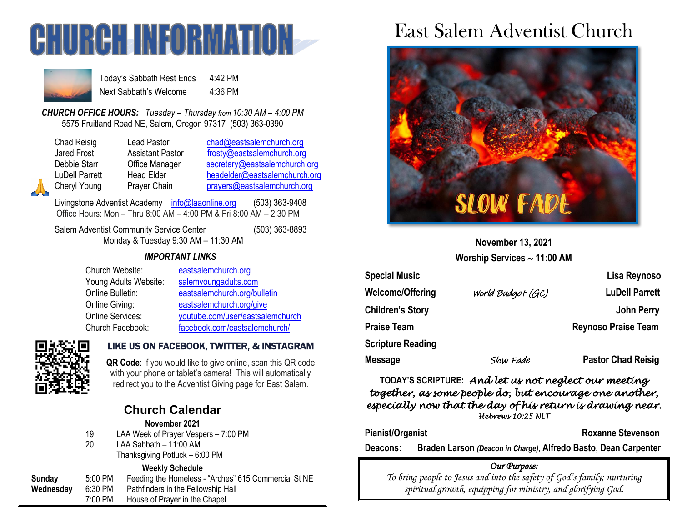



Today's Sabbath Rest Ends 4:42 PM Next Sabbath's Welcome 4:36 PM

*CHURCH OFFICE HOURS: Tuesday – Thursday from 10:30 AM – 4:00 PM* 5575 Fruitland Road NE, Salem, Oregon 97317 (503) 363-0390

| Chad Reisig        |
|--------------------|
| <b>Jared Frost</b> |
| Debbie Starr       |
| LuDell Parrett     |
| Cheryl Young       |

Lead Pastor [chad@eastsalemchurch.org](mailto:chad@eastsalemchurch.org) Assistant Pastor [frosty@eastsalemchurch.org](mailto:frosty@eastsalemchurch.org) Office Manager [secretary@eastsalemchurch.org](mailto:secretary@eastsalemchurch.org) Head Elder [headelder@eastsalemchurch.org](mailto:headelder@eastsalemchurch.org) Prayer Chain [prayers@eastsalemchurch.org](mailto:prayers@eastsalemchurch.org)

Livingstone Adventist Academy [info@laaonline.org](mailto:info@laaonline.org) (503) 363-9408 Office Hours: Mon – Thru 8:00 AM – 4:00 PM & Fri 8:00 AM – 2:30 PM

Salem Adventist Community Service Center (503) 363-8893 Monday & Tuesday 9:30 AM – 11:30 AM

#### *IMPORTANT LINKS*

| Church Website:         | eastsalemchurch.org              |
|-------------------------|----------------------------------|
| Young Adults Website:   | salemyoungadults.com             |
| Online Bulletin:        | eastsalemchurch.org/bulletin     |
| Online Giving:          | eastsalemchurch.org/give         |
| <b>Online Services:</b> | youtube.com/user/eastsalemchurch |
| Church Facebook:        | facebook.com/eastsalemchurch/    |



# LIKE US ON FACEBOOK, TWITTER, & INSTAGRAM

**QR Code**: If you would like to give online, scan this QR code with your phone or tablet's camera! This will automatically redirect you to the Adventist Giving page for East Salem.

|                        |         | <b>Church Calendar</b>                               |  |  |  |
|------------------------|---------|------------------------------------------------------|--|--|--|
| November 2021          |         |                                                      |  |  |  |
|                        | 19      | LAA Week of Prayer Vespers - 7:00 PM                 |  |  |  |
|                        | 20      | LAA Sabbath - 11:00 AM                               |  |  |  |
|                        |         | Thanksgiving Potluck - 6:00 PM                       |  |  |  |
| <b>Weekly Schedule</b> |         |                                                      |  |  |  |
| Sunday                 | 5:00 PM | Feeding the Homeless - "Arches" 615 Commercial St NE |  |  |  |
| Wednesday              | 6:30 PM | Pathfinders in the Fellowship Hall                   |  |  |  |
|                        | 7:00 PM | House of Prayer in the Chapel                        |  |  |  |

# East Salem Adventist Church



**November 13, 2021 Worship Services 11:00 AM**

| <b>Special Music</b>     |                   | Lisa Reynoso               |
|--------------------------|-------------------|----------------------------|
| Welcome/Offering         | World Budget (GC) | <b>LuDell Parrett</b>      |
| <b>Children's Story</b>  |                   | <b>John Perry</b>          |
| <b>Praise Team</b>       |                   | <b>Reynoso Praise Team</b> |
| <b>Scripture Reading</b> |                   |                            |
| Message                  | Slow Fade         | <b>Pastor Chad Reisig</b>  |

**TODAY'S SCRIPTURE:** *And let us not neglect our meeting together, as some people do, but encourage one another, especially now that the day of his return is drawing near. Hebrews 10:25 NLT* 

**Pianist/Organist Roxanne Stevenson** 

**Deacons: Braden Larson** *(Deacon in Charge)***, Alfredo Basto, Dean Carpenter**

#### *Our Purpose:*

*To bring people to Jesus and into the safety of God's family; nurturing spiritual growth, equipping for ministry, and glorifying God.*